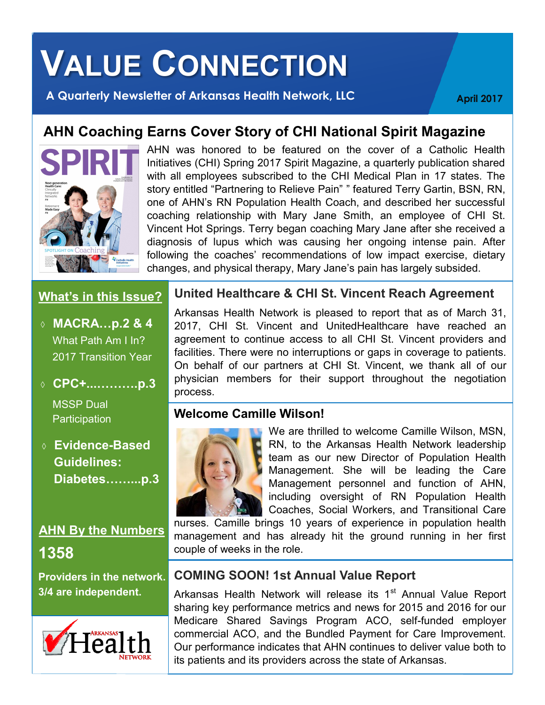# **VALUE CONNECTION**

**A Quarterly Newsletter of Arkansas Health Network, LLC April 2017** 

# **AHN Coaching Earns Cover Story of CHI National Spirit Magazine**



AHN was honored to be featured on the cover of a Catholic Health Initiatives (CHI) Spring 2017 Spirit Magazine, a quarterly publication shared with all employees subscribed to the CHI Medical Plan in 17 states. The story entitled "Partnering to Relieve Pain" " featured Terry Gartin, BSN, RN, one of AHN's RN Population Health Coach, and described her successful coaching relationship with Mary Jane Smith, an employee of CHI St. Vincent Hot Springs. Terry began coaching Mary Jane after she received a diagnosis of lupus which was causing her ongoing intense pain. After following the coaches' recommendations of low impact exercise, dietary changes, and physical therapy, Mary Jane's pain has largely subsided.

#### **What's in this Issue?**

- **MACRA…p.2 & 4** What Path Am I In? 2017 Transition Year
- **CPC+...……….p.3**

MSSP Dual **Participation** 

## **Evidence-Based Guidelines: Diabetes……...p.3**

# **AHN By the Numbers 1358**

**Providers in the network. 3/4 are independent.**



#### **United Healthcare & CHI St. Vincent Reach Agreement**

Arkansas Health Network is pleased to report that as of March 31, 2017, CHI St. Vincent and UnitedHealthcare have reached an agreement to continue access to all CHI St. Vincent providers and facilities. There were no interruptions or gaps in coverage to patients. On behalf of our partners at CHI St. Vincent, we thank all of our physician members for their support throughout the negotiation process.

### **Welcome Camille Wilson!**



We are thrilled to welcome Camille Wilson, MSN, RN, to the Arkansas Health Network leadership team as our new Director of Population Health Management. She will be leading the Care Management personnel and function of AHN, including oversight of RN Population Health Coaches, Social Workers, and Transitional Care

nurses. Camille brings 10 years of experience in population health management and has already hit the ground running in her first couple of weeks in the role.

### **COMING SOON! 1st Annual Value Report**

Arkansas Health Network will release its 1<sup>st</sup> Annual Value Report sharing key performance metrics and news for 2015 and 2016 for our Medicare Shared Savings Program ACO, self-funded employer commercial ACO, and the Bundled Payment for Care Improvement. Our performance indicates that AHN continues to deliver value both to its patients and its providers across the state of Arkansas.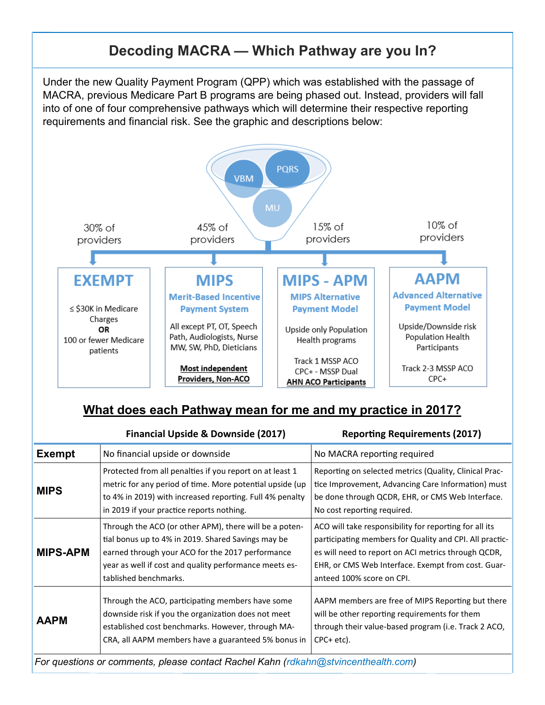# **Decoding MACRA — Which Pathway are you In?**

Under the new Quality Payment Program (QPP) which was established with the passage of MACRA, previous Medicare Part B programs are being phased out. Instead, providers will fall into of one of four comprehensive pathways which will determine their respective reporting requirements and financial risk. See the graphic and descriptions below:



## **What does each Pathway mean for me and my practice in 2017?**

|                                                                                    | <b>Financial Upside &amp; Downside (2017)</b>                                                                                                                                                                                                       | <b>Reporting Requirements (2017)</b>                                                                                                                                                                                                                        |  |  |
|------------------------------------------------------------------------------------|-----------------------------------------------------------------------------------------------------------------------------------------------------------------------------------------------------------------------------------------------------|-------------------------------------------------------------------------------------------------------------------------------------------------------------------------------------------------------------------------------------------------------------|--|--|
| <b>Exempt</b>                                                                      | No financial upside or downside                                                                                                                                                                                                                     | No MACRA reporting required                                                                                                                                                                                                                                 |  |  |
| <b>MIPS</b>                                                                        | Protected from all penalties if you report on at least 1<br>metric for any period of time. More potential upside (up<br>to 4% in 2019) with increased reporting. Full 4% penalty<br>in 2019 if your practice reports nothing.                       | Reporting on selected metrics (Quality, Clinical Prac-<br>tice Improvement, Advancing Care Information) must<br>be done through QCDR, EHR, or CMS Web Interface.<br>No cost reporting required.                                                             |  |  |
| <b>MIPS-APM</b>                                                                    | Through the ACO (or other APM), there will be a poten-<br>tial bonus up to 4% in 2019. Shared Savings may be<br>earned through your ACO for the 2017 performance<br>year as well if cost and quality performance meets es-<br>tablished benchmarks. | ACO will take responsibility for reporting for all its<br>participating members for Quality and CPI. All practic-<br>es will need to report on ACI metrics through QCDR,<br>EHR, or CMS Web Interface. Exempt from cost. Guar-<br>anteed 100% score on CPI. |  |  |
| <b>AAPM</b>                                                                        | Through the ACO, participating members have some<br>downside risk if you the organization does not meet<br>established cost benchmarks. However, through MA-<br>CRA, all AAPM members have a guaranteed 5% bonus in                                 | AAPM members are free of MIPS Reporting but there<br>will be other reporting requirements for them<br>through their value-based program (i.e. Track 2 ACO,<br>$CPC+etc$ ).                                                                                  |  |  |
| For questions or comments, please contact Rachel Kahn (rdkahn@stvincenthealth.com) |                                                                                                                                                                                                                                                     |                                                                                                                                                                                                                                                             |  |  |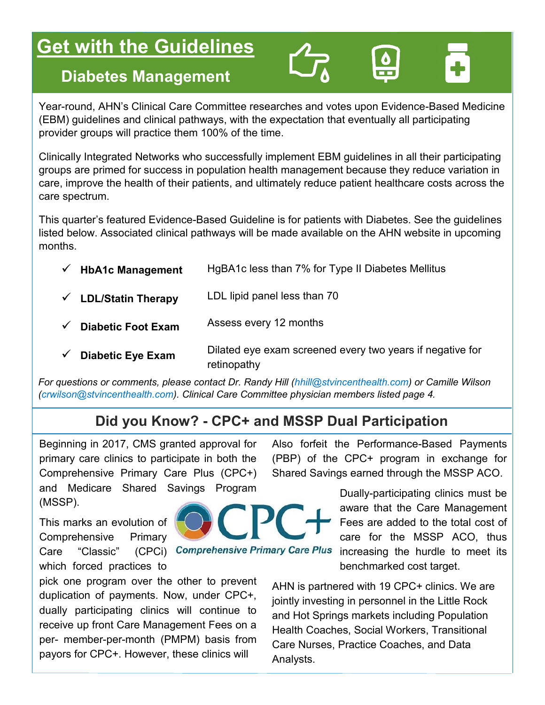# **<u>Get with the Guidelines</u>**

# **Diabetes Management**

Year-round, AHN's Clinical Care Committee researches and votes upon Evidence-Based Medicine (EBM) guidelines and clinical pathways, with the expectation that eventually all participating provider groups will practice them 100% of the time.

Clinically Integrated Networks who successfully implement EBM guidelines in all their participating groups are primed for success in population health management because they reduce variation in care, improve the health of their patients, and ultimately reduce patient healthcare costs across the care spectrum.

This quarter's featured Evidence-Based Guideline is for patients with Diabetes. See the guidelines listed below. Associated clinical pathways will be made available on the AHN website in upcoming months.

| <b>HbA1c Management</b>         | HgBA1c less than 7% for Type II Diabetes Mellitus                        |
|---------------------------------|--------------------------------------------------------------------------|
| $\checkmark$ LDL/Statin Therapy | LDL lipid panel less than 70                                             |
| <b>Diabetic Foot Exam</b>       | Assess every 12 months                                                   |
| <b>Diabetic Eye Exam</b>        | Dilated eye exam screened every two years if negative for<br>retinopathy |

*For questions or comments, please contact Dr. Randy Hill (hhill@stvincenthealth.com) or Camille Wilson (crwilson@stvincenthealth.com). Clinical Care Committee physician members listed page 4.* 

# **Did you Know? - CPC+ and MSSP Dual Participation**

Beginning in 2017, CMS granted approval for primary care clinics to participate in both the Comprehensive Primary Care Plus (CPC+) and Medicare Shared Savings Program (MSSP).

This marks an evolution of Comprehensive Primary which forced practices to

pick one program over the other to prevent duplication of payments. Now, under CPC+, dually participating clinics will continue to receive up front Care Management Fees on a per- member-per-month (PMPM) basis from payors for CPC+. However, these clinics will

Also forfeit the Performance-Based Payments (PBP) of the CPC+ program in exchange for Shared Savings earned through the MSSP ACO.

> Dually-participating clinics must be aware that the Care Management Fees are added to the total cost of care for the MSSP ACO, thus increasing the hurdle to meet its benchmarked cost target.

AHN is partnered with 19 CPC+ clinics. We are jointly investing in personnel in the Little Rock and Hot Springs markets including Population Health Coaches, Social Workers, Transitional Care Nurses, Practice Coaches, and Data Analysts.